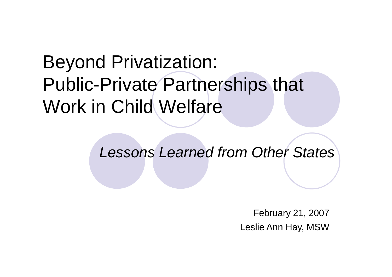## Beyond Privatization: Public-Private Partnerships that Work in Child Welfare

*Lessons Learned from Other States*

February 21, 2007 Leslie Ann Hay, MSW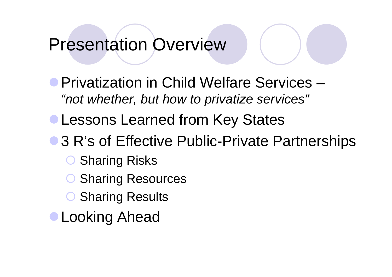## Presentation Overview

Privatization in Child Welfare Services – *"not whether, but how to privatize services"*

- **Lessons Learned from Key States**
- 3 R's of Effective Public-Private Partnerships
	- Sharing Risks
	- Sharing Resources
	- **O Sharing Results**
- Looking Ahead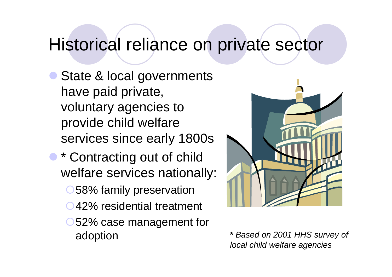### Historical reliance on private sector

- State & local governments have paid private, voluntary agencies to provide child welfare services since early 1800s
- \* Contracting out of child welfare services nationally:
	- O 58% family preservation
	- 42% residential treatment
	- 52% case management for adoption **\*** *Based on 2001 HHS survey of*



*local child welfare agencies*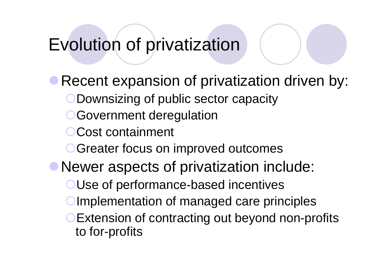## Evolution of privatization

Recent expansion of privatization driven by: **ODownsizing of public sector capacity OGovernment deregulation** Cost containment **OGreater focus on improved outcomes** Newer aspects of privatization include: OUse of performance-based incentives Implementation of managed care principles **Extension of contracting out beyond non-profits** to for-profits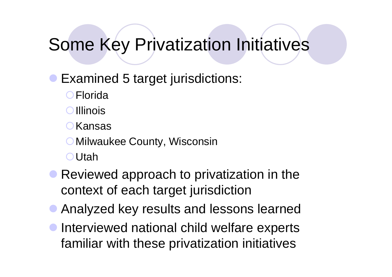## Some Key Privatization Initiatives

#### • Examined 5 target jurisdictions:

**O**Florida

**O**lllinois

**O**Kansas

O Milwaukee County, Wisconsin

Utah

- **Reviewed approach to privatization in the** context of each target jurisdiction
- Analyzed key results and lessons learned
- **Interviewed national child welfare experts** familiar with these privatization initiatives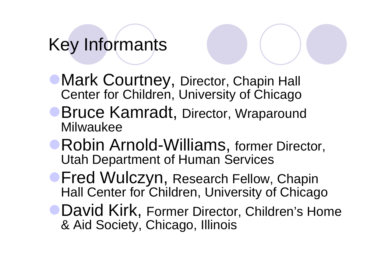## Key Informants

- **Mark Courtney, Director, Chapin Hall** Center for Children, University of Chicago
- **Bruce Kamradt, Director, Wraparound** Milwaukee
- **Robin Arnold-Williams, former Director,** Utah Department of Human Services
- **Fred Wulczyn, Research Fellow, Chapin** Hall Center for Children, University of Chicago
- **David Kirk, Former Director, Children's Home** & Aid Society, Chicago, Illinois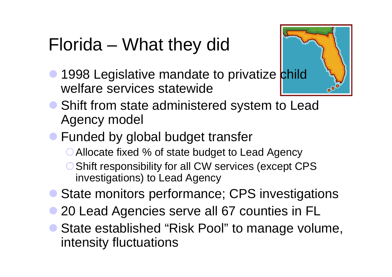## Florida – What they did

**1998 Legislative mandate to privatize child** welfare services statewide



- Shift from state administered system to Lead Agency model
- **Funded by global budget transfer** 
	- ◯ Allocate fixed % of state budget to Lead Agency
	- O Shift responsibility for all CW services (except CPS investigations) to Lead Agency
- State monitors performance; CPS investigations
- 20 Lead Agencies serve all 67 counties in FL
- State established "Risk Pool" to manage volume, intensity fluctuations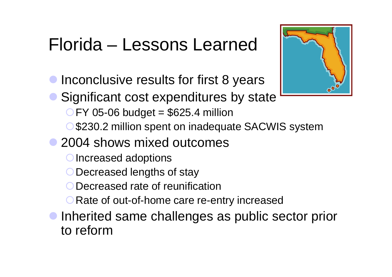## Florida – Lessons Learned

- Inconclusive results for first 8 years
- Significant cost expenditures by state
	- $CFY$  05-06 budget = \$625.4 million
	- O \$230.2 million spent on inadequate SACWIS system
- 2004 shows mixed outcomes
	- O Increased adoptions
	- O Decreased lengths of stay
	- O Decreased rate of reunification
	- **O** Rate of out-of-home care re-entry increased
- Inherited same challenges as public sector prior to reform

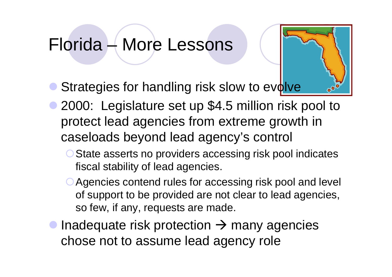## Florida – More Lessons

- Strategies for handling risk slow to evolve
- 2000: Legislature set up \$4.5 million risk pool to protect lead agencies from extreme growth in caseloads beyond lead agency's control
	- O State asserts no providers accessing risk pool indicates fiscal stability of lead agencies.
	- Agencies contend rules for accessing risk pool and level of support to be provided are not clear to lead agencies, so few, if any, requests are made.
- Inadequate risk protection  $\rightarrow$  many agencies chose not to assume lead agency role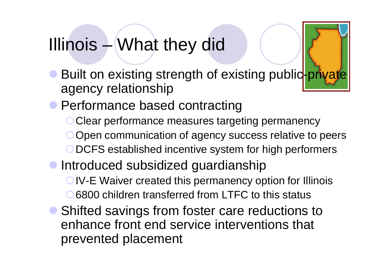## Illinois – What they did

- **Built on existing strength of existing public-private** agency relationship
- **Performance based contracting** 
	- O Clear performance measures targeting permanency O Open communication of agency success relative to peers
	- ODCFS established incentive system for high performers
- Introduced subsidized guardianship
	- **OIV-E Waiver created this permanency option for Illinois** ○ 6800 children transferred from LTFC to this status
- Shifted savings from foster care reductions to enhance front end service interventions that prevented placement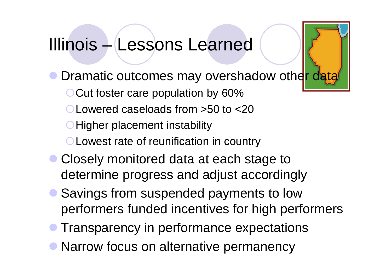### Illinois – Lessons Learned

- Dramatic outcomes may overshadow other data
	- O Cut foster care population by 60%
	- Lowered caseloads from >50 to <20
	- **O** Higher placement instability
	- **OLowest rate of reunification in country**
- Closely monitored data at each stage to determine progress and adjust accordingly
- Savings from suspended payments to low performers funded incentives for high performers
- Transparency in performance expectations
- Narrow focus on alternative permanency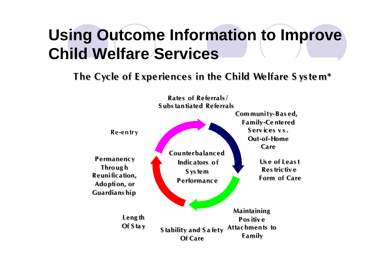## **Using Outcome Information to Improve Child Welfare Services**

#### **The Cycle of E xperiences in the Child Welfare S ys te m\***

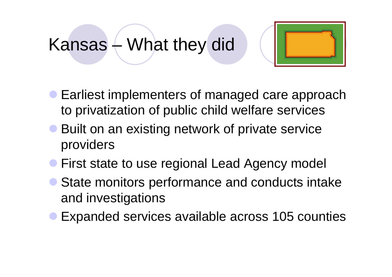## Kansas – What they did



- **Earliest implementers of managed care approach** to privatization of public child welfare services
- Built on an existing network of private service providers
- **First state to use regional Lead Agency model**
- State monitors performance and conducts intake and investigations
- Expanded services available across 105 counties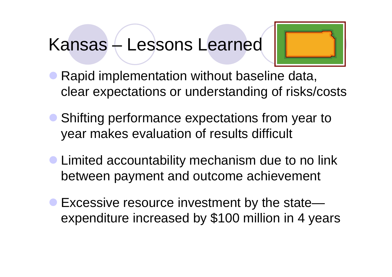## Kansas – Lessons Learned



- Rapid implementation without baseline data, clear expectations or understanding of risks/costs
- Shifting performance expectations from year to year makes evaluation of results difficult
- **Limited accountability mechanism due to no link** between payment and outcome achievement
- Excessive resource investment by the state expenditure increased by \$100 million in 4 years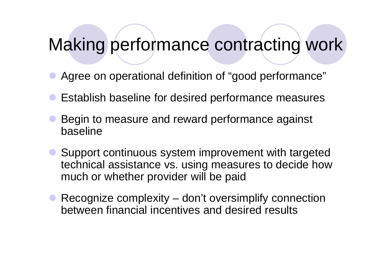### Making performance contracting work

- Agree on operational definition of "good performance"
- Establish baseline for desired performance measures
- Begin to measure and reward performance against baseline
- Support continuous system improvement with targeted technical assistance vs. using measures to decide how much or whether provider will be paid
- Recognize complexity don't oversimplify connection between financial incentives and desired results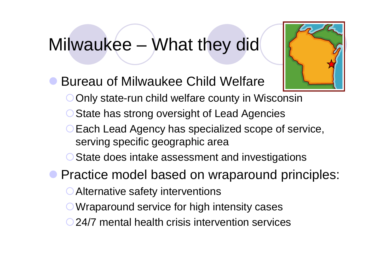### Milwaukee – What they did



- Bureau of Milwaukee Child Welfare
	- O Only state-run child welfare county in Wisconsin
	- O State has strong oversight of Lead Agencies
	- **O Each Lead Agency has specialized scope of service,** serving specific geographic area
	- O State does intake assessment and investigations
- **Practice model based on wraparound principles:** 
	- **Alternative safety interventions**
	- O Wraparound service for high intensity cases
	- 24/7 mental health crisis intervention services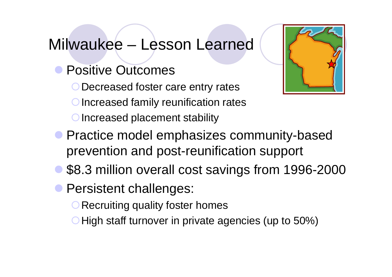#### Milwaukee – Lesson Learned

- **Positive Outcomes** 
	- Decreased foster care entry rates
	- Increased family reunification rates
	- O Increased placement stability



- **Practice model emphasizes community-based** prevention and post-reunification support
- \$8.3 million overall cost savings from 1996-2000
- **Persistent challenges:** 
	- O Recruiting quality foster homes
	- High staff turnover in private agencies (up to 50%)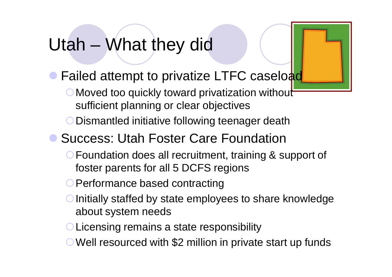## Utah – What they did

- Failed attempt to privatize LTFC caseload
	- O Moved too quickly toward privatization without sufficient planning or clear objectives
	- O Dismantled initiative following teenager death
- Success: Utah Foster Care Foundation
	- **O Foundation does all recruitment, training & support of** foster parents for all 5 DCFS regions
	- O Performance based contracting
	- $\bigcirc$  Initially staffed by state employees to share knowledge about system needs
	- O Licensing remains a state responsibility
	- Well resourced with \$2 million in private start up funds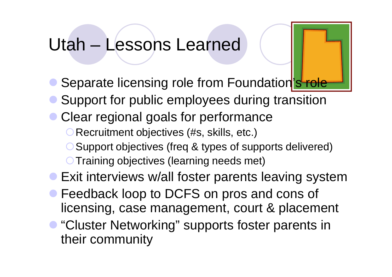### Utah – Lessons Learned

- Separate licensing role from Foundation's role
- Support for public employees during transition
- Clear regional goals for performance
	- **O Recruitment objectives (#s, skills, etc.)**
	- ◯ Support objectives (freq & types of supports delivered)
	- **O Training objectives (learning needs met)**
- Exit interviews w/all foster parents leaving system
- **Feedback loop to DCFS on pros and cons of** licensing, case management, court & placement
- "Cluster Networking" supports foster parents in their community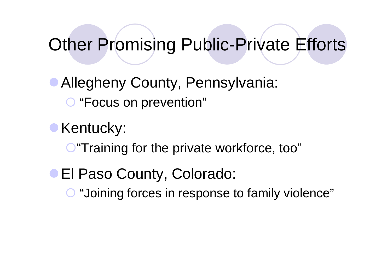## Other Promising Public-Private Efforts

Allegheny County, Pennsylvania: "Focus on prevention"

Kentucky:

**O** "Training for the private workforce, too"

**El Paso County, Colorado: O** "Joining forces in response to family violence"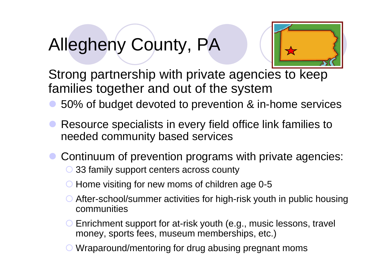## Allegheny County, PA



Strong partnership with private agencies to keep families together and out of the system

- 50% of budget devoted to prevention & in-home services
- Resource specialists in every field office link families to needed community based services
- Continuum of prevention programs with private agencies:
	- ◯ 33 family support centers across county
	- $\bigcirc$  Home visiting for new moms of children age 0-5
	- After-school/summer activities for high-risk youth in public housing communities
	- Enrichment support for at-risk youth (e.g., music lessons, travel money, sports fees, museum memberships, etc.)
	- Wraparound/mentoring for drug abusing pregnant moms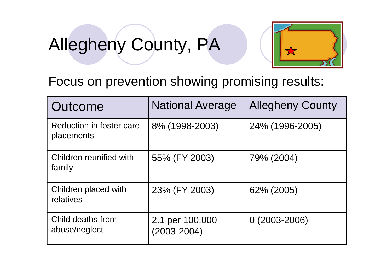# Allegheny County, PA



Focus on prevention showing promising results:

| Outcome                                | <b>National Average</b>            | <b>Allegheny County</b> |
|----------------------------------------|------------------------------------|-------------------------|
| Reduction in foster care<br>placements | 8% (1998-2003)                     | 24% (1996-2005)         |
| Children reunified with<br>family      | 55% (FY 2003)                      | 79% (2004)              |
| Children placed with<br>relatives      | 23% (FY 2003)                      | 62% (2005)              |
| Child deaths from<br>abuse/neglect     | 2.1 per 100,000<br>$(2003 - 2004)$ | $0(2003 - 2006)$        |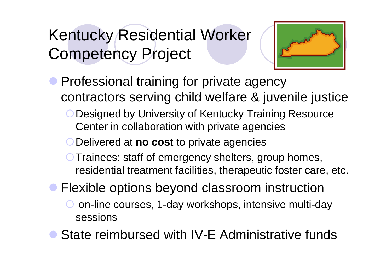## Kentucky Residential Worker Competency Project



- **Professional training for private agency** contractors serving child welfare & juvenile justice
	- **O Designed by University of Kentucky Training Resource** Center in collaboration with private agencies
	- Delivered at **no cost** to private agencies
	- **O Trainees: staff of emergency shelters, group homes,** residential treatment facilities, therapeutic foster care, etc.
- **Flexible options beyond classroom instruction** 
	- on-line courses, 1-day workshops, intensive multi-day sessions
- State reimbursed with IV-E Administrative funds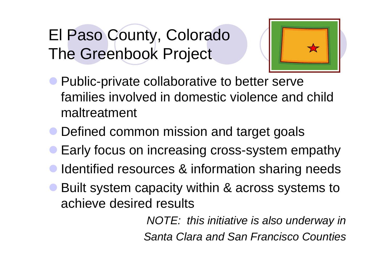## El Paso County, Colorado The Greenbook Project



- **Public-private collaborative to better serve** families involved in domestic violence and child maltreatment
- Defined common mission and target goals
- Early focus on increasing cross-system empathy
- Identified resources & information sharing needs
- Built system capacity within & across systems to achieve desired results

*NOTE: this initiative is also underway in Santa Clara and San Francisco Counties*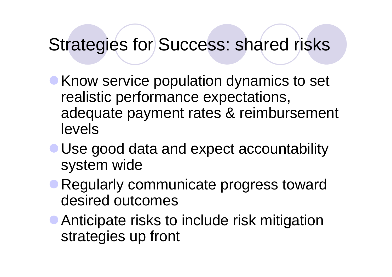## Strategies for Success: shared risks

- **Know service population dynamics to set** realistic performance expectations, adequate payment rates & reimbursement levels
- Use good data and expect accountability system wide
- Regularly communicate progress toward desired outcomes
- **Anticipate risks to include risk mitigation** strategies up front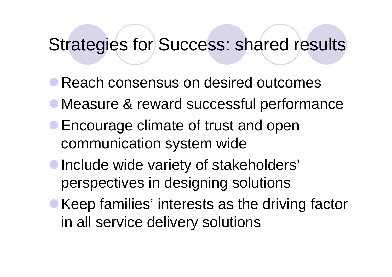### Strategies for Success: shared results

- Reach consensus on desired outcomes
- Measure & reward successful performance
- **Encourage climate of trust and open** communication system wide
- Include wide variety of stakeholders' perspectives in designing solutions
- Keep families' interests as the driving factor in all service delivery solutions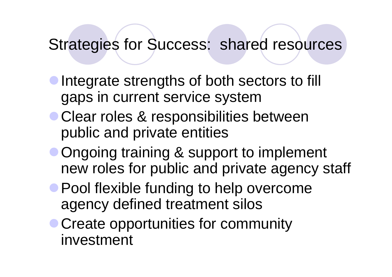### Strategies for Success: shared resources

- Integrate strengths of both sectors to fill gaps in current service system
- Clear roles & responsibilities between public and private entities
- **Ongoing training & support to implement** new roles for public and private agency staff
- **Pool flexible funding to help overcome** agency defined treatment silos
- Create opportunities for community investment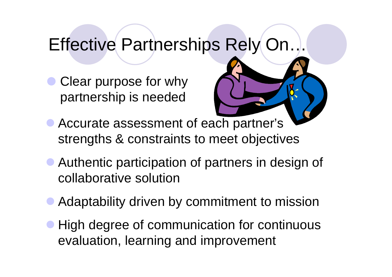## Effective Partnerships Rely On…

Clear purpose for why partnership is needed



- Accurate assessment of each partner's strengths & constraints to meet objectives
- Authentic participation of partners in design of collaborative solution
- Adaptability driven by commitment to mission
- High degree of communication for continuous evaluation, learning and improvement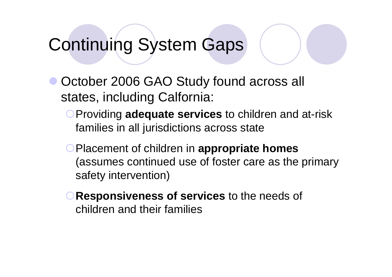## Continuing System Gaps

- October 2006 GAO Study found across all states, including Calfornia:
	- **OProviding adequate services** to children and at-risk families in all jurisdictions across state
	- Placement of children in **appropriate homes** (assumes continued use of foster care as the primary safety intervention)
	- **Responsiveness of services** to the needs of children and their families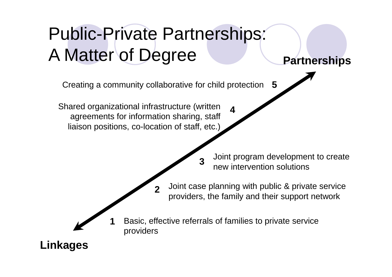## Public-Private Partnerships: A Matter of Degree Partnerships

**5** Creating a community collaborative for child protection

**2**

Shared organizational infrastructure (written agreements for information sharing, staff liaison positions, co-location of staff, etc.)

**1**

Joint program development to create new intervention solutions

Joint case planning with public & private service providers, the family and their support network

Basic, effective referrals of families to private service providers

**3**

**4**

**Linkages**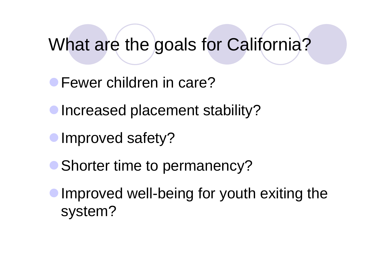### What are the goals for California?

Fewer children in care?

**Increased placement stability?** 

- **Improved safety?**
- Shorter time to permanency?
- Improved well-being for youth exiting the system?